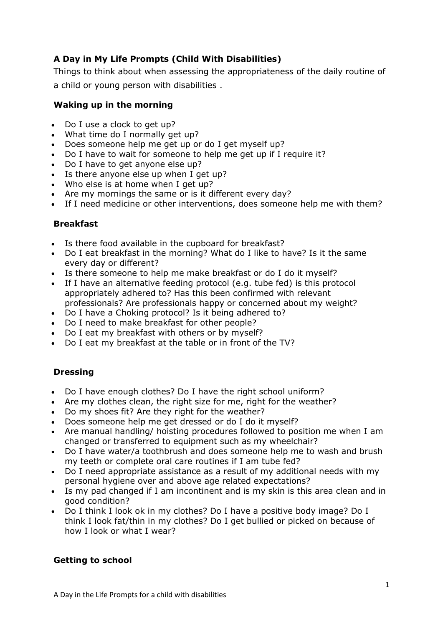# **A Day in My Life Prompts (Child With Disabilities)**

Things to think about when assessing the appropriateness of the daily routine of a child or young person with disabilities .

### **Waking up in the morning**

- Do I use a clock to get up?
- What time do I normally get up?
- Does someone help me get up or do I get myself up?
- Do I have to wait for someone to help me get up if I require it?
- Do I have to get anyone else up?
- Is there anyone else up when I get up?
- Who else is at home when I get up?
- Are my mornings the same or is it different every day?
- If I need medicine or other interventions, does someone help me with them?

#### **Breakfast**

- Is there food available in the cupboard for breakfast?
- Do I eat breakfast in the morning? What do I like to have? Is it the same every day or different?
- Is there someone to help me make breakfast or do I do it myself?
- If I have an alternative feeding protocol (e.g. tube fed) is this protocol appropriately adhered to? Has this been confirmed with relevant professionals? Are professionals happy or concerned about my weight?
- Do I have a Choking protocol? Is it being adhered to?
- Do I need to make breakfast for other people?
- Do I eat my breakfast with others or by myself?
- Do I eat my breakfast at the table or in front of the TV?

## **Dressing**

- Do I have enough clothes? Do I have the right school uniform?
- Are my clothes clean, the right size for me, right for the weather?
- Do my shoes fit? Are they right for the weather?
- Does someone help me get dressed or do I do it myself?
- Are manual handling/ hoisting procedures followed to position me when I am changed or transferred to equipment such as my wheelchair?
- Do I have water/a toothbrush and does someone help me to wash and brush my teeth or complete oral care routines if I am tube fed?
- Do I need appropriate assistance as a result of my additional needs with my personal hygiene over and above age related expectations?
- Is my pad changed if I am incontinent and is my skin is this area clean and in good condition?
- Do I think I look ok in my clothes? Do I have a positive body image? Do I think I look fat/thin in my clothes? Do I get bullied or picked on because of how I look or what I wear?

## **Getting to school**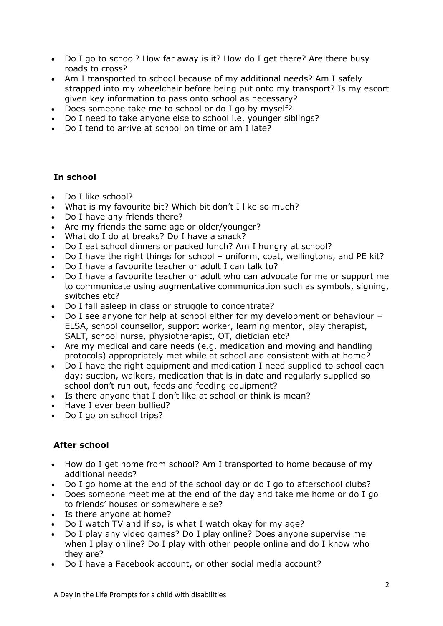- Do I go to school? How far away is it? How do I get there? Are there busy roads to cross?
- Am I transported to school because of my additional needs? Am I safely strapped into my wheelchair before being put onto my transport? Is my escort given key information to pass onto school as necessary?
- Does someone take me to school or do I go by myself?
- Do I need to take anyone else to school i.e. younger siblings?
- Do I tend to arrive at school on time or am I late?

### **In school**

- Do I like school?
- What is my favourite bit? Which bit don't I like so much?
- Do I have any friends there?
- Are my friends the same age or older/younger?
- What do I do at breaks? Do I have a snack?
- Do I eat school dinners or packed lunch? Am I hungry at school?
- Do I have the right things for school uniform, coat, wellingtons, and PE kit?
- Do I have a favourite teacher or adult I can talk to?
- Do I have a favourite teacher or adult who can advocate for me or support me to communicate using augmentative communication such as symbols, signing, switches etc?
- Do I fall asleep in class or struggle to concentrate?
- Do I see anyone for help at school either for my development or behaviour ELSA, school counsellor, support worker, learning mentor, play therapist, SALT, school nurse, physiotherapist, OT, dietician etc?
- Are my medical and care needs (e.g. medication and moving and handling protocols) appropriately met while at school and consistent with at home?
- Do I have the right equipment and medication I need supplied to school each day; suction, walkers, medication that is in date and regularly supplied so school don't run out, feeds and feeding equipment?
- Is there anyone that I don't like at school or think is mean?
- Have I ever been bullied?
- Do I go on school trips?

#### **After school**

- How do I get home from school? Am I transported to home because of my additional needs?
- Do I go home at the end of the school day or do I go to afterschool clubs?
- Does someone meet me at the end of the day and take me home or do I go to friends' houses or somewhere else?
- Is there anyone at home?
- Do I watch TV and if so, is what I watch okay for my age?
- Do I play any video games? Do I play online? Does anyone supervise me when I play online? Do I play with other people online and do I know who they are?
- Do I have a Facebook account, or other social media account?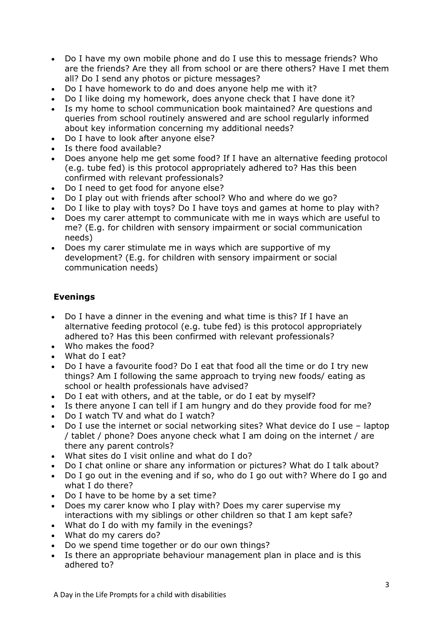- Do I have my own mobile phone and do I use this to message friends? Who are the friends? Are they all from school or are there others? Have I met them all? Do I send any photos or picture messages?
- Do I have homework to do and does anyone help me with it?
- Do I like doing my homework, does anyone check that I have done it?
- Is my home to school communication book maintained? Are questions and queries from school routinely answered and are school regularly informed about key information concerning my additional needs?
- Do I have to look after anyone else?
- Is there food available?
- Does anyone help me get some food? If I have an alternative feeding protocol (e.g. tube fed) is this protocol appropriately adhered to? Has this been confirmed with relevant professionals?
- Do I need to get food for anyone else?
- Do I play out with friends after school? Who and where do we go?
- Do I like to play with toys? Do I have toys and games at home to play with?
- Does my carer attempt to communicate with me in ways which are useful to me? (E.g. for children with sensory impairment or social communication needs)
- Does my carer stimulate me in ways which are supportive of my development? (E.g. for children with sensory impairment or social communication needs)

## **Evenings**

- Do I have a dinner in the evening and what time is this? If I have an alternative feeding protocol (e.g. tube fed) is this protocol appropriately adhered to? Has this been confirmed with relevant professionals?
- Who makes the food?
- What do I eat?
- Do I have a favourite food? Do I eat that food all the time or do I try new things? Am I following the same approach to trying new foods/ eating as school or health professionals have advised?
- Do I eat with others, and at the table, or do I eat by myself?
- Is there anyone I can tell if I am hungry and do they provide food for me?
- Do I watch TV and what do I watch?
- Do I use the internet or social networking sites? What device do I use laptop / tablet / phone? Does anyone check what I am doing on the internet / are there any parent controls?
- What sites do I visit online and what do I do?
- Do I chat online or share any information or pictures? What do I talk about?
- Do I go out in the evening and if so, who do I go out with? Where do I go and what I do there?
- Do I have to be home by a set time?
- Does my carer know who I play with? Does my carer supervise my interactions with my siblings or other children so that I am kept safe?
- What do I do with my family in the evenings?
- What do my carers do?
- Do we spend time together or do our own things?
- Is there an appropriate behaviour management plan in place and is this adhered to?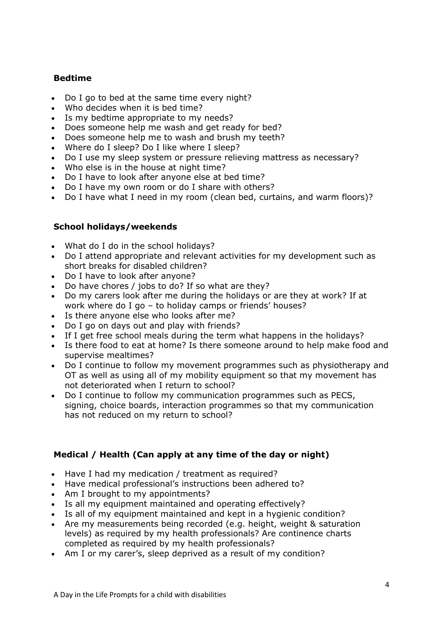### **Bedtime**

- Do I go to bed at the same time every night?
- Who decides when it is bed time?
- Is my bedtime appropriate to my needs?
- Does someone help me wash and get ready for bed?
- Does someone help me to wash and brush my teeth?
- Where do I sleep? Do I like where I sleep?
- Do I use my sleep system or pressure relieving mattress as necessary?
- Who else is in the house at night time?
- Do I have to look after anyone else at bed time?
- Do I have my own room or do I share with others?
- Do I have what I need in my room (clean bed, curtains, and warm floors)?

#### **School holidays/weekends**

- What do I do in the school holidays?
- Do I attend appropriate and relevant activities for my development such as short breaks for disabled children?
- Do I have to look after anyone?
- Do have chores / jobs to do? If so what are they?
- Do my carers look after me during the holidays or are they at work? If at work where do I go – to holiday camps or friends' houses?
- Is there anyone else who looks after me?
- Do I go on days out and play with friends?
- If I get free school meals during the term what happens in the holidays?
- Is there food to eat at home? Is there someone around to help make food and supervise mealtimes?
- Do I continue to follow my movement programmes such as physiotherapy and OT as well as using all of my mobility equipment so that my movement has not deteriorated when I return to school?
- Do I continue to follow my communication programmes such as PECS, signing, choice boards, interaction programmes so that my communication has not reduced on my return to school?

#### **Medical / Health (Can apply at any time of the day or night)**

- Have I had my medication / treatment as required?
- Have medical professional's instructions been adhered to?
- Am I brought to my appointments?
- Is all my equipment maintained and operating effectively?
- Is all of my equipment maintained and kept in a hygienic condition?
- Are my measurements being recorded (e.g. height, weight & saturation levels) as required by my health professionals? Are continence charts completed as required by my health professionals?
- Am I or my carer's, sleep deprived as a result of my condition?